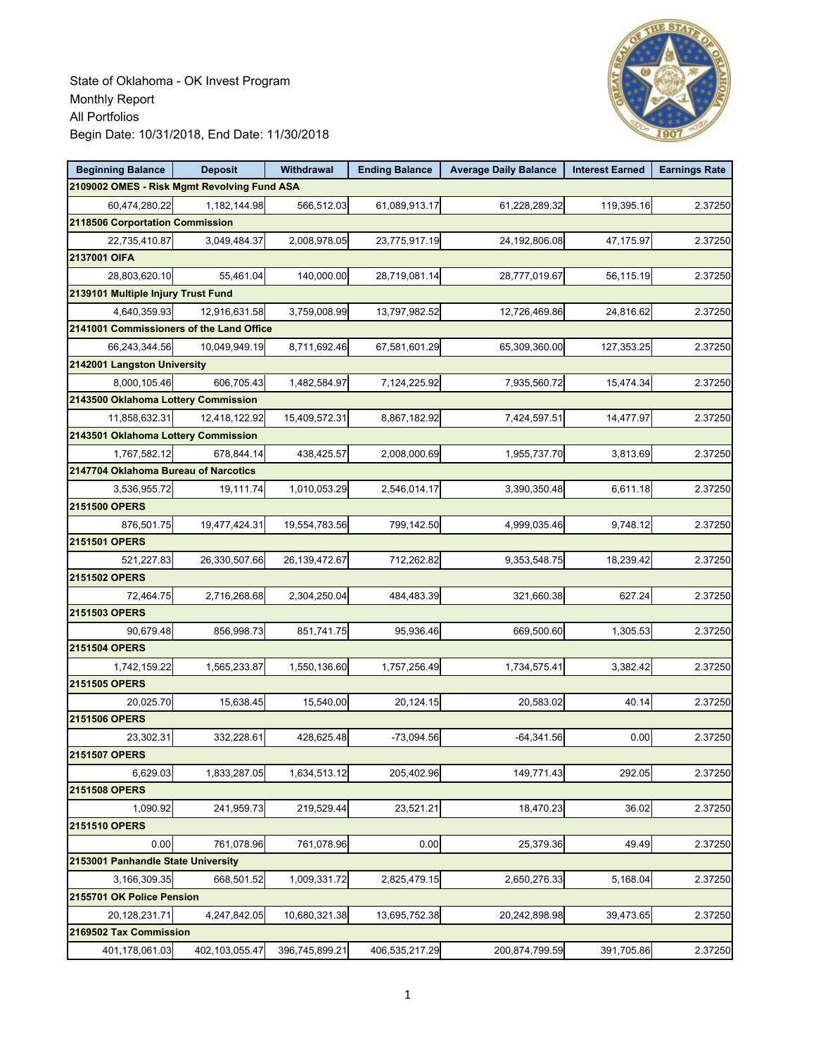

| <b>Beginning Balance</b>                    | <b>Deposit</b> | Withdrawal     | <b>Ending Balance</b> | <b>Average Daily Balance</b> | <b>Interest Earned</b> | <b>Earnings Rate</b> |  |  |  |
|---------------------------------------------|----------------|----------------|-----------------------|------------------------------|------------------------|----------------------|--|--|--|
| 2109002 OMES - Risk Mgmt Revolving Fund ASA |                |                |                       |                              |                        |                      |  |  |  |
| 60,474,280.22                               | 1,182,144.98   | 566,512.03     | 61,089,913.17         | 61,228,289.32                | 119,395.16             | 2.37250              |  |  |  |
| 2118506 Corportation Commission             |                |                |                       |                              |                        |                      |  |  |  |
| 22,735,410.87                               | 3,049,484.37   | 2,008,978.05   | 23,775,917.19         | 24,192,806.08                | 47,175.97              | 2.37250              |  |  |  |
| 2137001 OIFA                                |                |                |                       |                              |                        |                      |  |  |  |
| 28,803,620.10                               | 55,461.04      | 140,000.00     | 28,719,081.14         | 28,777,019.67                | 56,115.19              | 2.37250              |  |  |  |
| 2139101 Multiple Injury Trust Fund          |                |                |                       |                              |                        |                      |  |  |  |
| 4,640,359.93                                | 12,916,631.58  | 3,759,008.99   | 13,797,982.52         | 12,726,469.86                | 24,816.62              | 2.37250              |  |  |  |
| 2141001 Commissioners of the Land Office    |                |                |                       |                              |                        |                      |  |  |  |
| 66.243.344.56                               | 10,049,949.19  | 8,711,692.46   | 67,581,601.29         | 65,309,360.00                | 127,353.25             | 2.37250              |  |  |  |
| 2142001 Langston University                 |                |                |                       |                              |                        |                      |  |  |  |
| 8,000,105.46                                | 606,705.43     | 1,482,584.97   | 7,124,225.92          | 7,935,560.72                 | 15,474.34              | 2.37250              |  |  |  |
| 2143500 Oklahoma Lottery Commission         |                |                |                       |                              |                        |                      |  |  |  |
| 11,858,632.31                               | 12,418,122.92  | 15,409,572.31  | 8,867,182.92          | 7,424,597.51                 | 14,477.97              | 2.37250              |  |  |  |
| 2143501 Oklahoma Lottery Commission         |                |                |                       |                              |                        |                      |  |  |  |
| 1,767,582.12                                | 678,844.14     | 438,425.57     | 2,008,000.69          | 1,955,737.70                 | 3,813.69               | 2.37250              |  |  |  |
| 2147704 Oklahoma Bureau of Narcotics        |                |                |                       |                              |                        |                      |  |  |  |
| 3.536.955.72                                | 19,111.74      | 1,010,053.29   | 2,546,014.17          | 3,390,350.48                 | 6,611.18               | 2.37250              |  |  |  |
| 2151500 OPERS                               |                |                |                       |                              |                        |                      |  |  |  |
| 876,501.75                                  | 19,477,424.31  | 19,554,783.56  | 799,142.50            | 4,999,035.46                 | 9,748.12               | 2.37250              |  |  |  |
| 2151501 OPERS                               |                |                |                       |                              |                        |                      |  |  |  |
| 521,227.83                                  | 26,330,507.66  | 26,139,472.67  | 712,262.82            | 9,353,548.75                 | 18,239.42              | 2.37250              |  |  |  |
| 2151502 OPERS                               |                |                |                       |                              |                        |                      |  |  |  |
| 72,464.75                                   | 2,716,268.68   | 2,304,250.04   | 484,483.39            | 321,660.38                   | 627.24                 | 2.37250              |  |  |  |
| 2151503 OPERS                               |                |                |                       |                              |                        |                      |  |  |  |
| 90,679.48                                   | 856,998.73     | 851,741.75     | 95,936.46             | 669,500.60                   | 1,305.53               | 2.37250              |  |  |  |
| 2151504 OPERS                               |                |                |                       |                              |                        |                      |  |  |  |
| 1,742,159.22                                | 1,565,233.87   | 1,550,136.60   | 1,757,256.49          | 1,734,575.41                 | 3,382.42               | 2.37250              |  |  |  |
| 2151505 OPERS                               |                |                |                       |                              |                        |                      |  |  |  |
| 20,025.70                                   | 15,638.45      | 15,540.00      | 20,124.15             | 20,583.02                    | 40.14                  | 2.37250              |  |  |  |
| 2151506 OPERS                               |                |                |                       |                              |                        |                      |  |  |  |
| 23,302.31                                   | 332,228.61     | 428,625.48     | $-73,094.56$          | $-64,341.56$                 | 0.00                   | 2.37250              |  |  |  |
| 2151507 OPERS                               |                |                |                       |                              |                        |                      |  |  |  |
| 6,629.03                                    | 1,833,287.05   | 1,634,513.12   | 205,402.96            | 149,771.43                   | 292.05                 | 2.37250              |  |  |  |
| 2151508 OPERS                               |                |                |                       |                              |                        |                      |  |  |  |
| 1,090.92                                    | 241,959.73     | 219,529.44     | 23,521.21             | 18,470.23                    | 36.02                  | 2.37250              |  |  |  |
| 2151510 OPERS                               |                |                |                       |                              |                        |                      |  |  |  |
| 0.00                                        | 761,078.96     | 761,078.96     | 0.00                  | 25,379.36                    | 49.49                  | 2.37250              |  |  |  |
| 2153001 Panhandle State University          |                |                |                       |                              |                        |                      |  |  |  |
| 3,166,309.35                                | 668,501.52     | 1,009,331.72   | 2,825,479.15          | 2,650,276.33                 | 5,168.04               | 2.37250              |  |  |  |
| 2155701 OK Police Pension                   |                |                |                       |                              |                        |                      |  |  |  |
| 20,128,231.71                               | 4,247,842.05   | 10,680,321.38  | 13,695,752.38         | 20,242,898.98                | 39,473.65              | 2.37250              |  |  |  |
| 2169502 Tax Commission                      |                |                |                       |                              |                        |                      |  |  |  |
| 401,178,061.03                              | 402,103,055.47 | 396,745,899.21 | 406,535,217.29        | 200,874,799.59               | 391,705.86             | 2.37250              |  |  |  |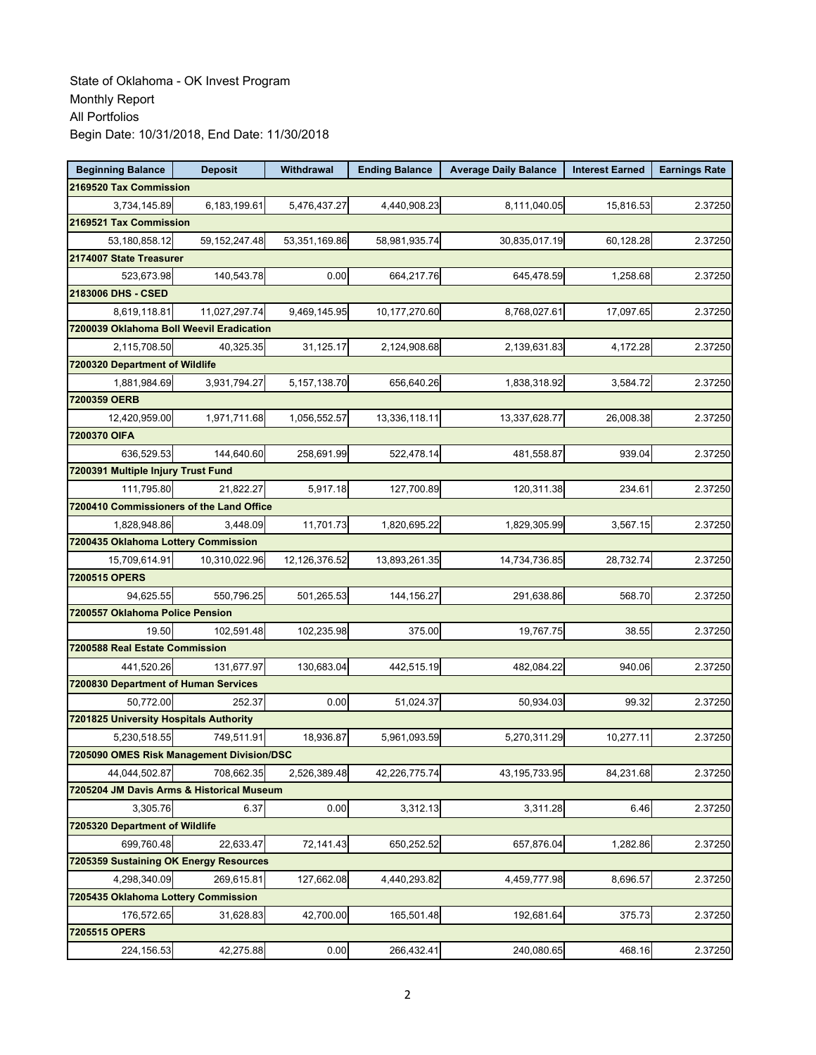| <b>Beginning Balance</b>                            | <b>Deposit</b>   | Withdrawal    | <b>Ending Balance</b> | <b>Average Daily Balance</b> | <b>Interest Earned</b> | <b>Earnings Rate</b> |
|-----------------------------------------------------|------------------|---------------|-----------------------|------------------------------|------------------------|----------------------|
| 2169520 Tax Commission                              |                  |               |                       |                              |                        |                      |
| 3,734,145.89                                        | 6,183,199.61     | 5,476,437.27  | 4,440,908.23          | 8,111,040.05                 | 15,816.53              | 2.37250              |
| 2169521 Tax Commission                              |                  |               |                       |                              |                        |                      |
| 53,180,858.12                                       | 59, 152, 247. 48 | 53,351,169.86 | 58,981,935.74         | 30,835,017.19                | 60,128.28              | 2.37250              |
| 2174007 State Treasurer                             |                  |               |                       |                              |                        |                      |
| 523,673.98                                          | 140,543.78       | 0.00          | 664,217.76            | 645,478.59                   | 1,258.68               | 2.37250              |
| 2183006 DHS - CSED                                  |                  |               |                       |                              |                        |                      |
| 8,619,118.81                                        | 11,027,297.74    | 9,469,145.95  | 10,177,270.60         | 8,768,027.61                 | 17,097.65              | 2.37250              |
| 7200039 Oklahoma Boll Weevil Eradication            |                  |               |                       |                              |                        |                      |
| 2,115,708.50                                        | 40,325.35        | 31,125.17     | 2,124,908.68          | 2,139,631.83                 | 4,172.28               | 2.37250              |
| 7200320 Department of Wildlife                      |                  |               |                       |                              |                        |                      |
| 1,881,984.69                                        | 3,931,794.27     | 5,157,138.70  | 656,640.26            | 1,838,318.92                 | 3,584.72               | 2.37250              |
| 7200359 OERB                                        |                  |               |                       |                              |                        |                      |
| 12,420,959.00                                       | 1,971,711.68     | 1,056,552.57  | 13,336,118.11         | 13,337,628.77                | 26,008.38              | 2.37250              |
| 7200370 OIFA                                        |                  |               |                       |                              |                        |                      |
| 636,529.53                                          | 144,640.60       | 258,691.99    | 522,478.14            | 481,558.87                   | 939.04                 | 2.37250              |
| 7200391 Multiple Injury Trust Fund                  |                  |               |                       |                              |                        |                      |
| 111,795.80                                          | 21,822.27        | 5,917.18      | 127,700.89            | 120,311.38                   | 234.61                 | 2.37250              |
| 7200410 Commissioners of the Land Office            |                  |               |                       |                              |                        |                      |
| 1,828,948.86                                        | 3.448.09         | 11,701.73     | 1,820,695.22          | 1,829,305.99                 | 3,567.15               | 2.37250              |
| 7200435 Oklahoma Lottery Commission                 |                  |               |                       |                              |                        |                      |
| 15,709,614.91                                       | 10,310,022.96    | 12,126,376.52 | 13,893,261.35         | 14,734,736.85                | 28,732.74              | 2.37250              |
| 7200515 OPERS                                       |                  |               |                       |                              |                        |                      |
| 94,625.55                                           | 550,796.25       | 501,265.53    | 144,156.27            | 291,638.86                   | 568.70                 | 2.37250              |
| 7200557 Oklahoma Police Pension                     |                  |               |                       |                              |                        |                      |
| 19.50                                               | 102,591.48       | 102,235.98    | 375.00                | 19,767.75                    | 38.55                  | 2.37250              |
| 7200588 Real Estate Commission                      |                  |               |                       |                              |                        |                      |
| 441,520.26                                          | 131,677.97       | 130,683.04    | 442,515.19            | 482,084.22                   | 940.06                 | 2.37250              |
| 7200830 Department of Human Services                |                  |               |                       |                              |                        |                      |
| 50,772.00                                           | 252.37           | 0.00          | 51,024.37             | 50,934.03                    | 99.32                  | 2.37250              |
| 7201825 University Hospitals Authority              |                  |               |                       |                              |                        |                      |
| 5,230,518.55                                        | 749,511.91       | 18,936.87     | 5,961,093.59          | 5,270,311.29                 | 10,277.11              | 2.37250              |
| 7205090 OMES Risk Management Division/DSC           |                  |               |                       |                              |                        |                      |
| 44,044,502.87                                       | 708,662.35       | 2,526,389.48  | 42,226,775.74         | 43, 195, 733. 95             | 84,231.68              | 2.37250              |
| 7205204 JM Davis Arms & Historical Museum           |                  |               |                       |                              |                        |                      |
| 3,305.76                                            | 6.37             | 0.00          | 3,312.13              | 3,311.28                     | 6.46                   | 2.37250              |
| 7205320 Department of Wildlife                      |                  |               |                       |                              |                        |                      |
| 699,760.48                                          | 22,633.47        | 72,141.43     | 650,252.52            | 657,876.04                   | 1,282.86               | 2.37250              |
| 7205359 Sustaining OK Energy Resources              |                  |               |                       |                              |                        |                      |
| 4,298,340.09<br>7205435 Oklahoma Lottery Commission | 269,615.81       | 127,662.08    | 4,440,293.82          | 4,459,777.98                 | 8,696.57               | 2.37250              |
|                                                     |                  |               |                       |                              | 375.73                 |                      |
| 176,572.65                                          | 31,628.83        | 42,700.00     | 165,501.48            | 192,681.64                   |                        | 2.37250              |
| 7205515 OPERS                                       |                  |               |                       |                              |                        |                      |
| 224,156.53                                          | 42,275.88        | 0.00          | 266,432.41            | 240,080.65                   | 468.16                 | 2.37250              |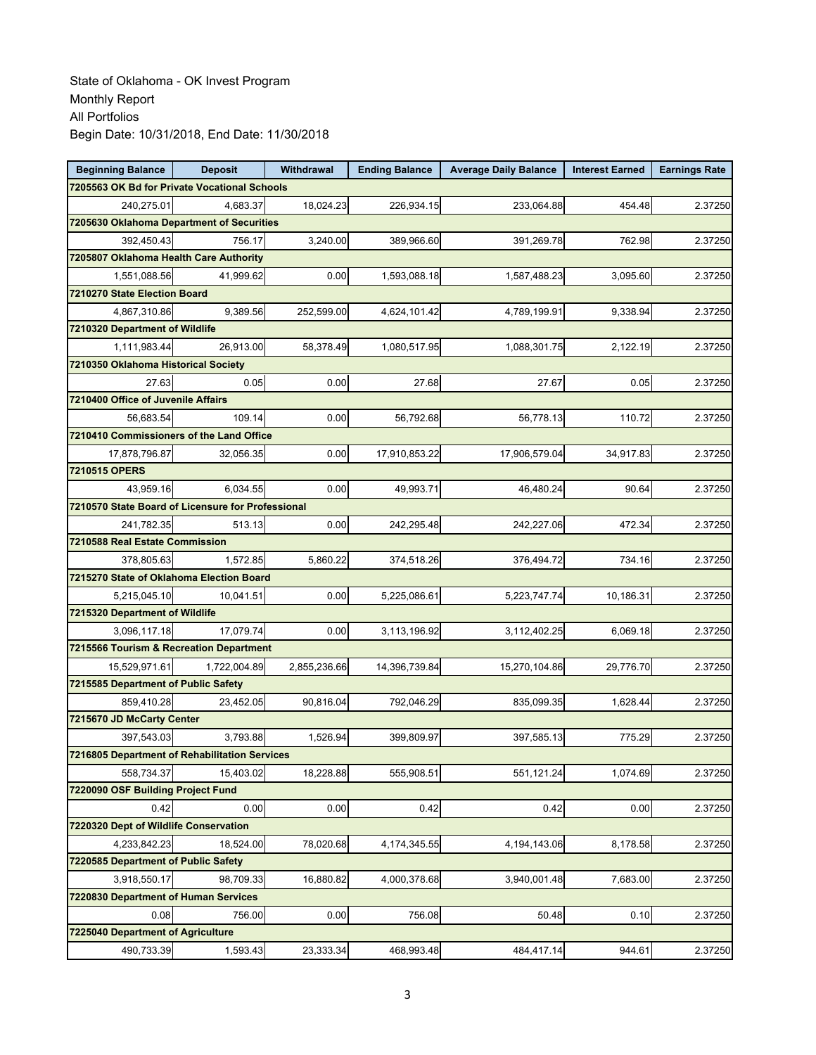| <b>Beginning Balance</b>                                    | <b>Deposit</b> | Withdrawal   | <b>Ending Balance</b> | <b>Average Daily Balance</b> | <b>Interest Earned</b> | <b>Earnings Rate</b> |
|-------------------------------------------------------------|----------------|--------------|-----------------------|------------------------------|------------------------|----------------------|
| 7205563 OK Bd for Private Vocational Schools                |                |              |                       |                              |                        |                      |
| 240,275.01                                                  | 4,683.37       | 18,024.23    | 226,934.15            | 233,064.88                   | 454.48                 | 2.37250              |
| 7205630 Oklahoma Department of Securities                   |                |              |                       |                              |                        |                      |
| 392.450.43                                                  | 756.17         | 3,240.00     | 389,966.60            | 391,269.78                   | 762.98                 | 2.37250              |
| 7205807 Oklahoma Health Care Authority                      |                |              |                       |                              |                        |                      |
| 1,551,088.56                                                | 41,999.62      | 0.00         | 1,593,088.18          | 1,587,488.23                 | 3,095.60               | 2.37250              |
| 7210270 State Election Board                                |                |              |                       |                              |                        |                      |
| 4,867,310.86                                                | 9,389.56       | 252,599.00   | 4,624,101.42          | 4,789,199.91                 | 9,338.94               | 2.37250              |
| 7210320 Department of Wildlife                              |                |              |                       |                              |                        |                      |
| 1,111,983.44                                                | 26,913.00      | 58,378.49    | 1,080,517.95          | 1,088,301.75                 | 2,122.19               | 2.37250              |
| 7210350 Oklahoma Historical Society                         |                |              |                       |                              |                        |                      |
| 27.63                                                       | 0.05           | 0.00         | 27.68                 | 27.67                        | 0.05                   | 2.37250              |
| 7210400 Office of Juvenile Affairs                          |                |              |                       |                              |                        |                      |
| 56,683.54                                                   | 109.14         | 0.00         | 56,792.68             | 56,778.13                    | 110.72                 | 2.37250              |
| 7210410 Commissioners of the Land Office                    |                |              |                       |                              |                        |                      |
| 17,878,796.87                                               | 32.056.35      | 0.00         | 17,910,853.22         | 17,906,579.04                | 34,917.83              | 2.37250              |
| 7210515 OPERS                                               |                |              |                       |                              |                        |                      |
| 43,959.16                                                   | 6,034.55       | 0.00         | 49,993.71             | 46,480.24                    | 90.64                  | 2.37250              |
| 7210570 State Board of Licensure for Professional           |                |              |                       |                              |                        |                      |
| 241.782.35                                                  | 513.13         | 0.00         | 242,295.48            | 242,227.06                   | 472.34                 | 2.37250              |
| 7210588 Real Estate Commission                              |                |              |                       |                              |                        |                      |
| 378,805.63                                                  | 1,572.85       | 5,860.22     | 374,518.26            | 376,494.72                   | 734.16                 | 2.37250              |
| 7215270 State of Oklahoma Election Board                    |                |              |                       |                              |                        |                      |
| 5,215,045.10                                                | 10,041.51      | 0.00         | 5,225,086.61          | 5,223,747.74                 | 10,186.31              | 2.37250              |
| 7215320 Department of Wildlife                              |                |              |                       |                              |                        |                      |
| 3,096,117.18                                                | 17,079.74      | 0.00         | 3,113,196.92          | 3,112,402.25                 | 6,069.18               | 2.37250              |
| 7215566 Tourism & Recreation Department                     |                |              |                       |                              |                        |                      |
| 15,529,971.61                                               | 1,722,004.89   | 2,855,236.66 | 14,396,739.84         | 15,270,104.86                | 29,776.70              | 2.37250              |
| 7215585 Department of Public Safety                         |                |              |                       |                              |                        |                      |
| 859,410.28                                                  | 23,452.05      | 90,816.04    | 792,046.29            | 835,099.35                   | 1,628.44               | 2.37250              |
| 7215670 JD McCarty Center                                   |                |              |                       |                              |                        |                      |
| 397,543.03<br>7216805 Department of Rehabilitation Services | 3,793.88       | 1,526.94     | 399,809.97            | 397,585.13                   | 775.29                 | 2.37250              |
|                                                             |                |              |                       |                              |                        |                      |
| 558,734.37<br>7220090 OSF Building Project Fund             | 15,403.02      | 18,228.88    | 555,908.51            | 551,121.24                   | 1,074.69               | 2.37250              |
| 0.42                                                        | 0.00           | 0.00         | 0.42                  | 0.42                         | 0.00                   |                      |
| 7220320 Dept of Wildlife Conservation                       |                |              |                       |                              |                        | 2.37250              |
|                                                             |                | 78,020.68    | 4,174,345.55          |                              |                        |                      |
| 4,233,842.23<br>7220585 Department of Public Safety         | 18,524.00      |              |                       | 4,194,143.06                 | 8,178.58               | 2.37250              |
| 3,918,550.17                                                | 98,709.33      | 16,880.82    | 4,000,378.68          | 3,940,001.48                 | 7,683.00               | 2.37250              |
| 7220830 Department of Human Services                        |                |              |                       |                              |                        |                      |
| 0.08                                                        | 756.00         | 0.00         | 756.08                | 50.48                        | 0.10                   | 2.37250              |
| 7225040 Department of Agriculture                           |                |              |                       |                              |                        |                      |
| 490,733.39                                                  | 1,593.43       | 23,333.34    | 468,993.48            | 484,417.14                   | 944.61                 | 2.37250              |
|                                                             |                |              |                       |                              |                        |                      |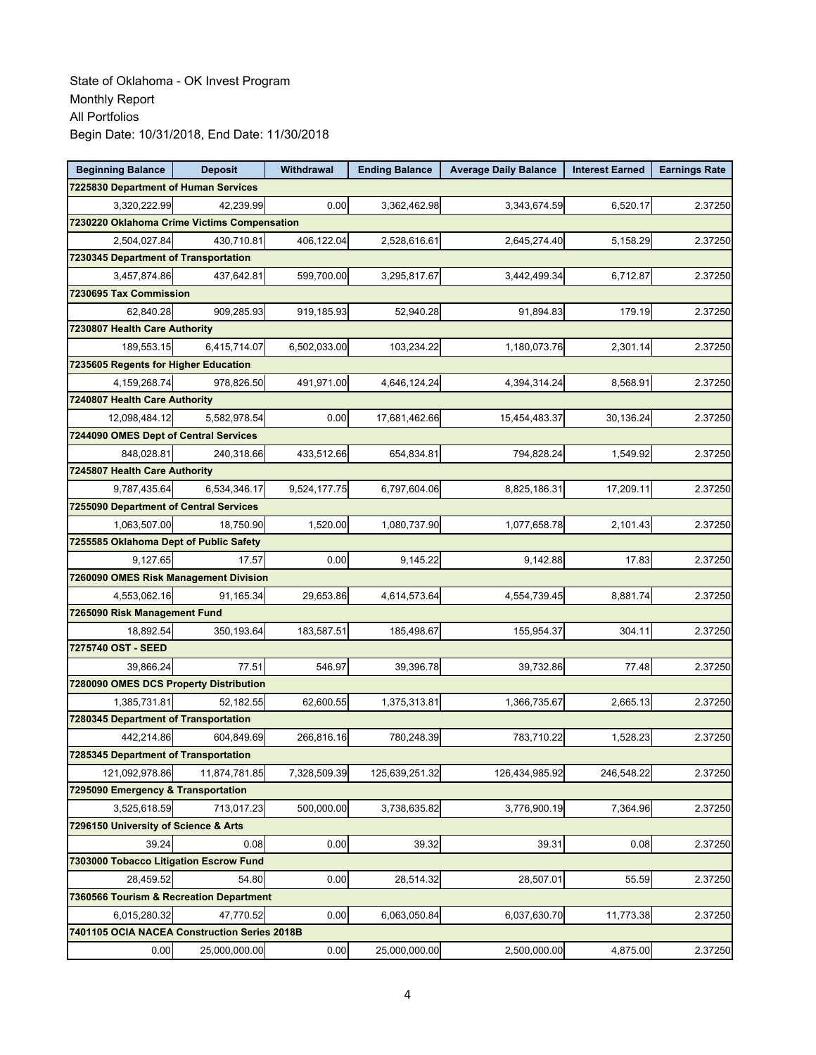| <b>Beginning Balance</b>                     | <b>Deposit</b> | Withdrawal   | <b>Ending Balance</b> | <b>Average Daily Balance</b> | <b>Interest Earned</b> | <b>Earnings Rate</b> |
|----------------------------------------------|----------------|--------------|-----------------------|------------------------------|------------------------|----------------------|
| 7225830 Department of Human Services         |                |              |                       |                              |                        |                      |
| 3,320,222.99                                 | 42.239.99      | 0.00         | 3,362,462.98          | 3,343,674.59                 | 6,520.17               | 2.37250              |
| 7230220 Oklahoma Crime Victims Compensation  |                |              |                       |                              |                        |                      |
| 2,504,027.84                                 | 430,710.81     | 406,122.04   | 2,528,616.61          | 2,645,274.40                 | 5,158.29               | 2.37250              |
| 7230345 Department of Transportation         |                |              |                       |                              |                        |                      |
| 3,457,874.86                                 | 437,642.81     | 599,700.00   | 3,295,817.67          | 3,442,499.34                 | 6,712.87               | 2.37250              |
| 7230695 Tax Commission                       |                |              |                       |                              |                        |                      |
| 62,840.28                                    | 909,285.93     | 919,185.93   | 52,940.28             | 91,894.83                    | 179.19                 | 2.37250              |
| 7230807 Health Care Authority                |                |              |                       |                              |                        |                      |
| 189,553.15                                   | 6,415,714.07   | 6,502,033.00 | 103,234.22            | 1,180,073.76                 | 2,301.14               | 2.37250              |
| 7235605 Regents for Higher Education         |                |              |                       |                              |                        |                      |
| 4,159,268.74                                 | 978,826.50     | 491,971.00   | 4,646,124.24          | 4,394,314.24                 | 8,568.91               | 2.37250              |
| 7240807 Health Care Authority                |                |              |                       |                              |                        |                      |
| 12,098,484.12                                | 5,582,978.54   | 0.00         | 17,681,462.66         | 15,454,483.37                | 30,136.24              | 2.37250              |
| 7244090 OMES Dept of Central Services        |                |              |                       |                              |                        |                      |
| 848,028.81                                   | 240,318.66     | 433,512.66   | 654,834.81            | 794,828.24                   | 1.549.92               | 2.37250              |
| 7245807 Health Care Authority                |                |              |                       |                              |                        |                      |
| 9,787,435.64                                 | 6,534,346.17   | 9,524,177.75 | 6,797,604.06          | 8,825,186.31                 | 17,209.11              | 2.37250              |
| 7255090 Department of Central Services       |                |              |                       |                              |                        |                      |
| 1,063,507.00                                 | 18,750.90      | 1,520.00     | 1,080,737.90          | 1,077,658.78                 | 2,101.43               | 2.37250              |
| 7255585 Oklahoma Dept of Public Safety       |                |              |                       |                              |                        |                      |
| 9,127.65                                     | 17.57          | 0.00         | 9,145.22              | 9,142.88                     | 17.83                  | 2.37250              |
| 7260090 OMES Risk Management Division        |                |              |                       |                              |                        |                      |
| 4,553,062.16                                 | 91,165.34      | 29,653.86    | 4,614,573.64          | 4,554,739.45                 | 8,881.74               | 2.37250              |
| 7265090 Risk Management Fund                 |                |              |                       |                              |                        |                      |
| 18,892.54                                    | 350,193.64     | 183,587.51   | 185,498.67            | 155,954.37                   | 304.11                 | 2.37250              |
| 7275740 OST - SEED                           |                |              |                       |                              |                        |                      |
| 39,866.24                                    | 77.51          | 546.97       | 39,396.78             | 39,732.86                    | 77.48                  | 2.37250              |
| 7280090 OMES DCS Property Distribution       |                |              |                       |                              |                        |                      |
| 1.385.731.81                                 | 52.182.55      | 62,600.55    | 1,375,313.81          | 1,366,735.67                 | 2,665.13               | 2.37250              |
| 7280345 Department of Transportation         |                |              |                       |                              |                        |                      |
| 442,214.86                                   | 604.849.69     | 266,816.16   | 780,248.39            | 783,710.22                   | 1,528.23               | 2.37250              |
| 7285345 Department of Transportation         |                |              |                       |                              |                        |                      |
| 121,092,978.86                               | 11,874,781.85  | 7,328,509.39 | 125,639,251.32        | 126,434,985.92               | 246,548.22             | 2.37250              |
| 7295090 Emergency & Transportation           |                |              |                       |                              |                        |                      |
| 3,525,618.59                                 | 713,017.23     | 500,000.00   | 3,738,635.82          | 3,776,900.19                 | 7,364.96               | 2.37250              |
| 7296150 University of Science & Arts         |                |              |                       |                              |                        |                      |
| 39.24                                        | 0.08           | 0.00         | 39.32                 | 39.31                        | 0.08                   | 2.37250              |
| 7303000 Tobacco Litigation Escrow Fund       |                |              |                       |                              |                        |                      |
| 28,459.52                                    | 54.80          | 0.00         | 28,514.32             | 28,507.01                    | 55.59                  | 2.37250              |
| 7360566 Tourism & Recreation Department      |                |              |                       |                              |                        |                      |
| 6,015,280.32                                 | 47,770.52      | 0.00         | 6,063,050.84          | 6,037,630.70                 | 11,773.38              | 2.37250              |
| 7401105 OCIA NACEA Construction Series 2018B |                |              |                       |                              |                        |                      |
| 0.00                                         | 25,000,000.00  | 0.00         | 25,000,000.00         | 2,500,000.00                 | 4,875.00               | 2.37250              |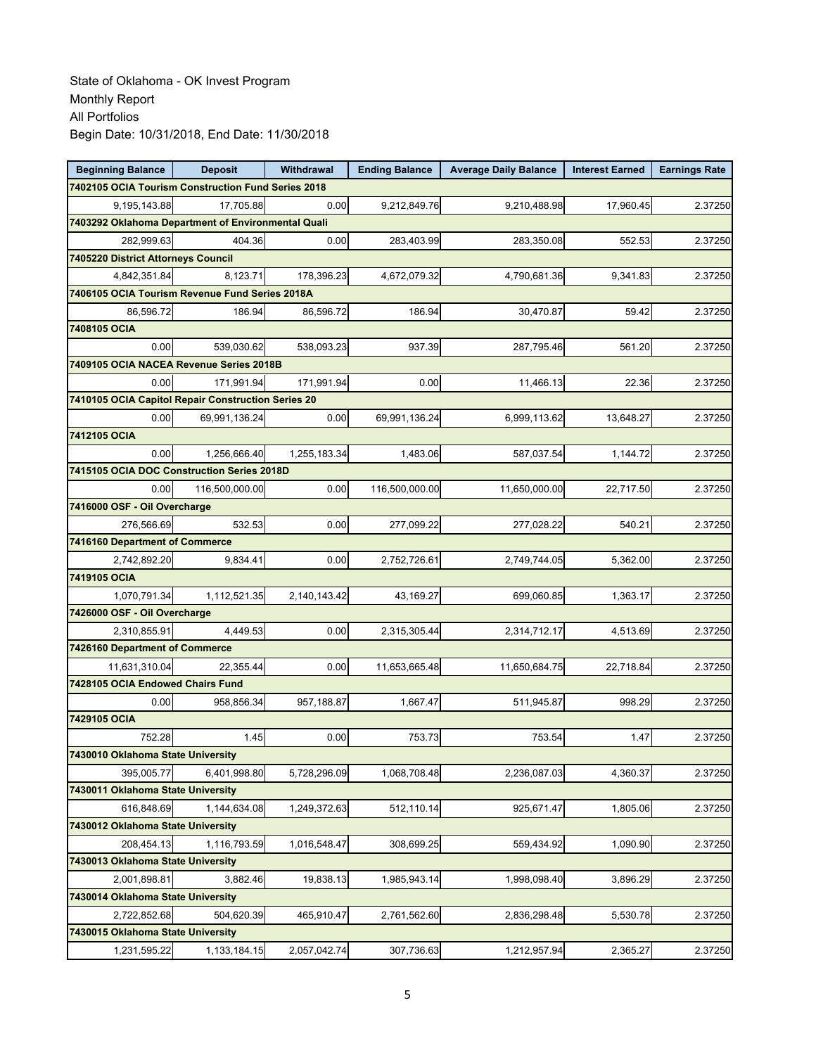| <b>Beginning Balance</b>                           | <b>Deposit</b> | Withdrawal   | <b>Ending Balance</b> | <b>Average Daily Balance</b> | <b>Interest Earned</b> | <b>Earnings Rate</b> |
|----------------------------------------------------|----------------|--------------|-----------------------|------------------------------|------------------------|----------------------|
| 7402105 OCIA Tourism Construction Fund Series 2018 |                |              |                       |                              |                        |                      |
| 9,195,143.88                                       | 17,705.88      | 0.00         | 9,212,849.76          | 9,210,488.98                 | 17,960.45              | 2.37250              |
| 7403292 Oklahoma Department of Environmental Quali |                |              |                       |                              |                        |                      |
| 282,999.63                                         | 404.36         | 0.00         | 283,403.99            | 283,350.08                   | 552.53                 | 2.37250              |
| 7405220 District Attorneys Council                 |                |              |                       |                              |                        |                      |
| 4,842,351.84                                       | 8,123.71       | 178,396.23   | 4,672,079.32          | 4,790,681.36                 | 9,341.83               | 2.37250              |
| 7406105 OCIA Tourism Revenue Fund Series 2018A     |                |              |                       |                              |                        |                      |
| 86.596.72                                          | 186.94         | 86,596.72    | 186.94                | 30,470.87                    | 59.42                  | 2.37250              |
| 7408105 OCIA                                       |                |              |                       |                              |                        |                      |
| 0.00                                               | 539.030.62     | 538,093.23   | 937.39                | 287,795.46                   | 561.20                 | 2.37250              |
| 7409105 OCIA NACEA Revenue Series 2018B            |                |              |                       |                              |                        |                      |
| 0.00                                               | 171,991.94     | 171,991.94   | 0.00                  | 11,466.13                    | 22.36                  | 2.37250              |
| 7410105 OCIA Capitol Repair Construction Series 20 |                |              |                       |                              |                        |                      |
| 0.00                                               | 69,991,136.24  | 0.00         | 69,991,136.24         | 6,999,113.62                 | 13,648.27              | 2.37250              |
| 7412105 OCIA                                       |                |              |                       |                              |                        |                      |
| 0.00                                               | 1,256,666.40   | 1,255,183.34 | 1,483.06              | 587,037.54                   | 1,144.72               | 2.37250              |
| 7415105 OCIA DOC Construction Series 2018D         |                |              |                       |                              |                        |                      |
| 0.00                                               | 116,500,000.00 | 0.00         | 116,500,000.00        | 11,650,000.00                | 22,717.50              | 2.37250              |
| 7416000 OSF - Oil Overcharge                       |                |              |                       |                              |                        |                      |
| 276,566.69                                         | 532.53         | 0.00         | 277,099.22            | 277,028.22                   | 540.21                 | 2.37250              |
| 7416160 Department of Commerce                     |                |              |                       |                              |                        |                      |
| 2,742,892.20                                       | 9,834.41       | 0.00         | 2,752,726.61          | 2,749,744.05                 | 5,362.00               | 2.37250              |
| 7419105 OCIA                                       |                |              |                       |                              |                        |                      |
| 1,070,791.34                                       | 1,112,521.35   | 2,140,143.42 | 43,169.27             | 699,060.85                   | 1,363.17               | 2.37250              |
| 7426000 OSF - Oil Overcharge                       |                |              |                       |                              |                        |                      |
| 2,310,855.91                                       | 4,449.53       | 0.00         | 2,315,305.44          | 2,314,712.17                 | 4,513.69               | 2.37250              |
| 7426160 Department of Commerce                     |                |              |                       |                              |                        |                      |
| 11,631,310.04                                      | 22,355.44      | 0.00         | 11,653,665.48         | 11,650,684.75                | 22,718.84              | 2.37250              |
| 7428105 OCIA Endowed Chairs Fund                   |                |              |                       |                              |                        |                      |
| 0.00                                               | 958,856.34     | 957,188.87   | 1,667.47              | 511,945.87                   | 998.29                 | 2.37250              |
| 7429105 OCIA                                       |                |              |                       |                              |                        |                      |
| 752.28<br>7430010 Oklahoma State University        | 1.45           | 0.00         | 753.73                | 753.54                       | 1.47                   | 2.37250              |
|                                                    | 6,401,998.80   | 5,728,296.09 |                       |                              |                        |                      |
| 395,005.77<br>7430011 Oklahoma State University    |                |              | 1,068,708.48          | 2,236,087.03                 | 4,360.37               | 2.37250              |
|                                                    |                |              |                       |                              |                        |                      |
| 616,848.69<br>7430012 Oklahoma State University    | 1,144,634.08   | 1,249,372.63 | 512,110.14            | 925,671.47                   | 1,805.06               | 2.37250              |
|                                                    | 1,116,793.59   | 1,016,548.47 | 308,699.25            |                              |                        |                      |
| 208,454.13<br>7430013 Oklahoma State University    |                |              |                       | 559,434.92                   | 1,090.90               | 2.37250              |
| 2,001,898.81                                       | 3,882.46       | 19,838.13    | 1,985,943.14          | 1,998,098.40                 | 3,896.29               | 2.37250              |
| 7430014 Oklahoma State University                  |                |              |                       |                              |                        |                      |
| 2,722,852.68                                       | 504,620.39     | 465,910.47   | 2,761,562.60          | 2,836,298.48                 | 5,530.78               | 2.37250              |
| 7430015 Oklahoma State University                  |                |              |                       |                              |                        |                      |
| 1,231,595.22                                       | 1,133,184.15   | 2,057,042.74 | 307,736.63            |                              | 2,365.27               |                      |
|                                                    |                |              |                       | 1,212,957.94                 |                        | 2.37250              |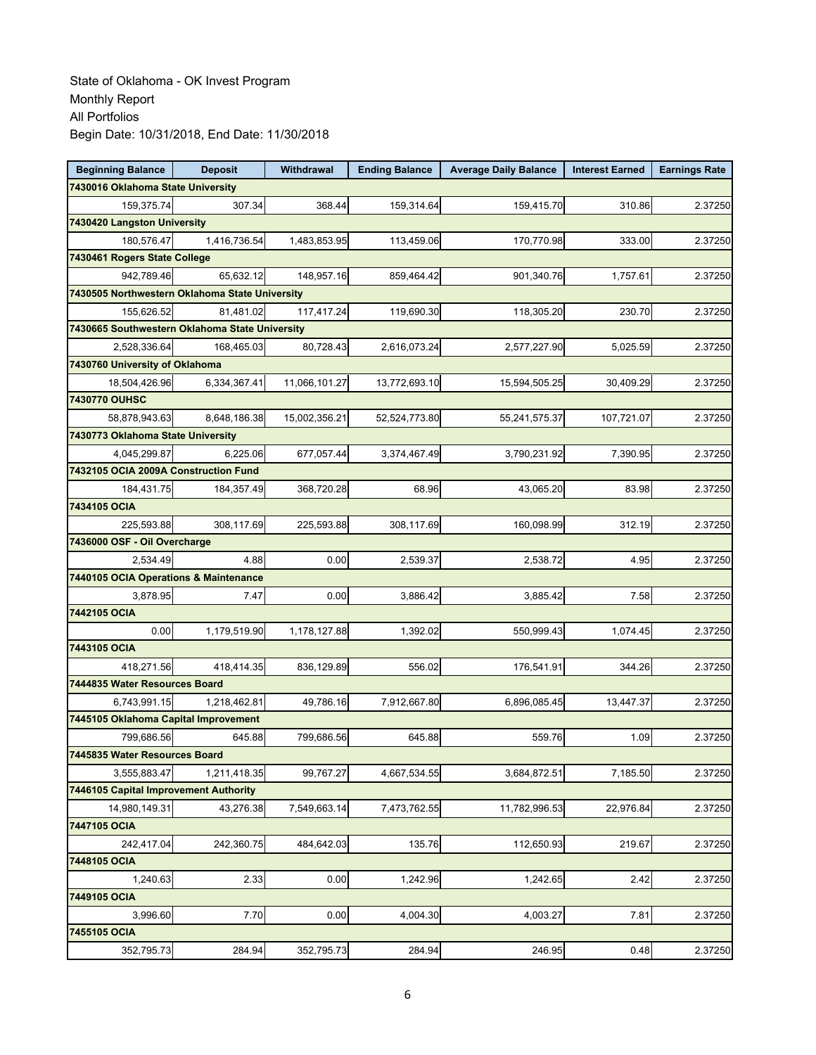| <b>Beginning Balance</b>                       | <b>Deposit</b> | Withdrawal    | <b>Ending Balance</b> | <b>Average Daily Balance</b> | <b>Interest Earned</b> | <b>Earnings Rate</b> |
|------------------------------------------------|----------------|---------------|-----------------------|------------------------------|------------------------|----------------------|
| 7430016 Oklahoma State University              |                |               |                       |                              |                        |                      |
| 159,375.74                                     | 307.34         | 368.44        | 159,314.64            | 159,415.70                   | 310.86                 | 2.37250              |
| 7430420 Langston University                    |                |               |                       |                              |                        |                      |
| 180.576.47                                     | 1,416,736.54   | 1,483,853.95  | 113,459.06            | 170,770.98                   | 333.00                 | 2.37250              |
| 7430461 Rogers State College                   |                |               |                       |                              |                        |                      |
| 942,789.46                                     | 65,632.12      | 148,957.16    | 859,464.42            | 901,340.76                   | 1,757.61               | 2.37250              |
| 7430505 Northwestern Oklahoma State University |                |               |                       |                              |                        |                      |
| 155,626.52                                     | 81,481.02      | 117,417.24    | 119,690.30            | 118,305.20                   | 230.70                 | 2.37250              |
| 7430665 Southwestern Oklahoma State University |                |               |                       |                              |                        |                      |
| 2,528,336.64                                   | 168,465.03     | 80,728.43     | 2,616,073.24          | 2,577,227.90                 | 5,025.59               | 2.37250              |
| 7430760 University of Oklahoma                 |                |               |                       |                              |                        |                      |
| 18,504,426.96                                  | 6,334,367.41   | 11,066,101.27 | 13,772,693.10         | 15,594,505.25                | 30,409.29              | 2.37250              |
| 7430770 OUHSC                                  |                |               |                       |                              |                        |                      |
| 58,878,943.63                                  | 8,648,186.38   | 15,002,356.21 | 52,524,773.80         | 55,241,575.37                | 107,721.07             | 2.37250              |
| 7430773 Oklahoma State University              |                |               |                       |                              |                        |                      |
| 4,045,299.87                                   | 6,225.06       | 677,057.44    | 3,374,467.49          | 3,790,231.92                 | 7,390.95               | 2.37250              |
| 7432105 OCIA 2009A Construction Fund           |                |               |                       |                              |                        |                      |
| 184,431.75                                     | 184,357.49     | 368,720.28    | 68.96                 | 43,065.20                    | 83.98                  | 2.37250              |
| 7434105 OCIA                                   |                |               |                       |                              |                        |                      |
| 225,593.88                                     | 308,117.69     | 225,593.88    | 308,117.69            | 160,098.99                   | 312.19                 | 2.37250              |
| 7436000 OSF - Oil Overcharge                   |                |               |                       |                              |                        |                      |
| 2,534.49                                       | 4.88           | 0.00          | 2,539.37              | 2,538.72                     | 4.95                   | 2.37250              |
| 7440105 OCIA Operations & Maintenance          |                |               |                       |                              |                        |                      |
| 3,878.95                                       | 7.47           | 0.00          | 3,886.42              | 3,885.42                     | 7.58                   | 2.37250              |
| 7442105 OCIA                                   |                |               |                       |                              |                        |                      |
| 0.00                                           | 1,179,519.90   | 1,178,127.88  | 1,392.02              | 550,999.43                   | 1,074.45               | 2.37250              |
| 7443105 OCIA                                   |                |               |                       |                              |                        |                      |
| 418,271.56                                     | 418,414.35     | 836,129.89    | 556.02                | 176,541.91                   | 344.26                 | 2.37250              |
| 7444835 Water Resources Board                  |                |               |                       |                              |                        |                      |
| 6,743,991.15                                   | 1,218,462.81   | 49,786.16     | 7,912,667.80          | 6.896.085.45                 | 13,447.37              | 2.37250              |
| 7445105 Oklahoma Capital Improvement           |                |               |                       |                              |                        |                      |
| 799,686.56                                     | 645.88         | 799,686.56    | 645.88                | 559.76                       | 1.09                   | 2.37250              |
| 7445835 Water Resources Board                  |                |               |                       |                              |                        |                      |
| 3,555,883.47                                   | 1,211,418.35   | 99,767.27     | 4,667,534.55          | 3,684,872.51                 | 7,185.50               | 2.37250              |
| 7446105 Capital Improvement Authority          |                |               |                       |                              |                        |                      |
| 14,980,149.31                                  | 43,276.38      | 7,549,663.14  | 7,473,762.55          | 11,782,996.53                | 22,976.84              | 2.37250              |
| 7447105 OCIA                                   |                |               |                       |                              |                        |                      |
| 242,417.04                                     | 242,360.75     | 484,642.03    | 135.76                | 112,650.93                   | 219.67                 | 2.37250              |
| 7448105 OCIA                                   |                |               |                       |                              |                        |                      |
| 1,240.63                                       | 2.33           | 0.00          | 1,242.96              | 1,242.65                     | 2.42                   | 2.37250              |
| 7449105 OCIA                                   |                |               |                       |                              |                        |                      |
| 3,996.60                                       | 7.70           | 0.00          | 4,004.30              | 4,003.27                     | 7.81                   | 2.37250              |
| 7455105 OCIA                                   |                |               |                       |                              |                        |                      |
| 352,795.73                                     | 284.94         | 352,795.73    | 284.94                | 246.95                       | 0.48                   | 2.37250              |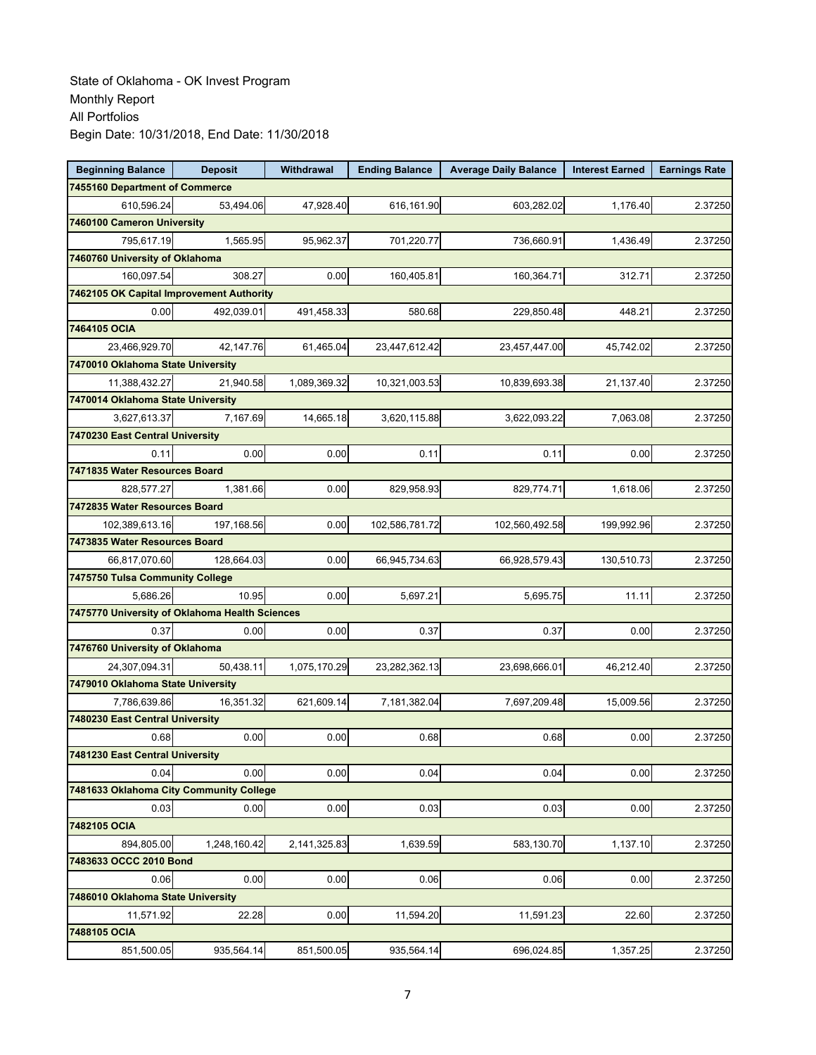| <b>Beginning Balance</b>                       | <b>Deposit</b> | Withdrawal   | <b>Ending Balance</b> | <b>Average Daily Balance</b> | <b>Interest Earned</b> | <b>Earnings Rate</b> |
|------------------------------------------------|----------------|--------------|-----------------------|------------------------------|------------------------|----------------------|
| 7455160 Department of Commerce                 |                |              |                       |                              |                        |                      |
| 610,596.24                                     | 53,494.06      | 47,928.40    | 616.161.90            | 603,282.02                   | 1,176.40               | 2.37250              |
| 7460100 Cameron University                     |                |              |                       |                              |                        |                      |
| 795,617.19                                     | 1,565.95       | 95,962.37    | 701,220.77            | 736,660.91                   | 1,436.49               | 2.37250              |
| 7460760 University of Oklahoma                 |                |              |                       |                              |                        |                      |
| 160,097.54                                     | 308.27         | 0.00         | 160,405.81            | 160,364.71                   | 312.71                 | 2.37250              |
| 7462105 OK Capital Improvement Authority       |                |              |                       |                              |                        |                      |
| 0.00                                           | 492,039.01     | 491,458.33   | 580.68                | 229,850.48                   | 448.21                 | 2.37250              |
| 7464105 OCIA                                   |                |              |                       |                              |                        |                      |
| 23,466,929.70                                  | 42,147.76      | 61,465.04    | 23,447,612.42         | 23,457,447.00                | 45,742.02              | 2.37250              |
| 7470010 Oklahoma State University              |                |              |                       |                              |                        |                      |
| 11,388,432.27                                  | 21,940.58      | 1,089,369.32 | 10,321,003.53         | 10,839,693.38                | 21,137.40              | 2.37250              |
| 7470014 Oklahoma State University              |                |              |                       |                              |                        |                      |
| 3,627,613.37                                   | 7,167.69       | 14,665.18    | 3,620,115.88          | 3,622,093.22                 | 7,063.08               | 2.37250              |
| 7470230 East Central University                |                |              |                       |                              |                        |                      |
| 0.11                                           | 0.00           | 0.00         | 0.11                  | 0.11                         | 0.00                   | 2.37250              |
| 7471835 Water Resources Board                  |                |              |                       |                              |                        |                      |
| 828,577.27                                     | 1,381.66       | 0.00         | 829,958.93            | 829,774.71                   | 1,618.06               | 2.37250              |
| 7472835 Water Resources Board                  |                |              |                       |                              |                        |                      |
| 102,389,613.16                                 | 197,168.56     | 0.00         | 102,586,781.72        | 102,560,492.58               | 199,992.96             | 2.37250              |
| 7473835 Water Resources Board                  |                |              |                       |                              |                        |                      |
| 66,817,070.60                                  | 128,664.03     | 0.00         | 66,945,734.63         | 66,928,579.43                | 130,510.73             | 2.37250              |
| 7475750 Tulsa Community College                |                |              |                       |                              |                        |                      |
| 5,686.26                                       | 10.95          | 0.00         | 5,697.21              | 5,695.75                     | 11.11                  | 2.37250              |
| 7475770 University of Oklahoma Health Sciences |                |              |                       |                              |                        |                      |
| 0.37                                           | 0.00           | 0.00         | 0.37                  | 0.37                         | 0.00                   | 2.37250              |
| 7476760 University of Oklahoma                 |                |              |                       |                              |                        |                      |
| 24,307,094.31                                  | 50,438.11      | 1,075,170.29 | 23,282,362.13         | 23,698,666.01                | 46,212.40              | 2.37250              |
| 7479010 Oklahoma State University              |                |              |                       |                              |                        |                      |
| 7,786,639.86                                   | 16,351.32      | 621,609.14   | 7,181,382.04          | 7,697,209.48                 | 15,009.56              | 2.37250              |
| 7480230 East Central University                |                |              |                       |                              |                        |                      |
| 0.68                                           | 0.00           | 0.00         | 0.68                  | 0.68                         | 0.00                   | 2.37250              |
| 7481230 East Central University                |                |              |                       |                              |                        |                      |
| 0.04                                           | 0.00           | 0.00         | 0.04                  | 0.04                         | 0.00                   | 2.37250              |
| 7481633 Oklahoma City Community College        |                |              |                       |                              |                        |                      |
| 0.03                                           | 0.00           | 0.00         | 0.03                  | 0.03                         | 0.00                   | 2.37250              |
| 7482105 OCIA                                   |                |              |                       |                              |                        |                      |
| 894,805.00                                     | 1,248,160.42   | 2,141,325.83 | 1,639.59              | 583,130.70                   | 1,137.10               | 2.37250              |
| 7483633 OCCC 2010 Bond                         |                |              |                       |                              |                        |                      |
| 0.06                                           | 0.00           | 0.00         | 0.06                  | 0.06                         | 0.00                   | 2.37250              |
| 7486010 Oklahoma State University              |                |              |                       |                              |                        |                      |
| 11,571.92                                      | 22.28          | 0.00         | 11,594.20             | 11,591.23                    | 22.60                  | 2.37250              |
| 7488105 OCIA                                   |                |              |                       |                              |                        |                      |
| 851,500.05                                     | 935,564.14     | 851,500.05   | 935,564.14            | 696,024.85                   | 1,357.25               | 2.37250              |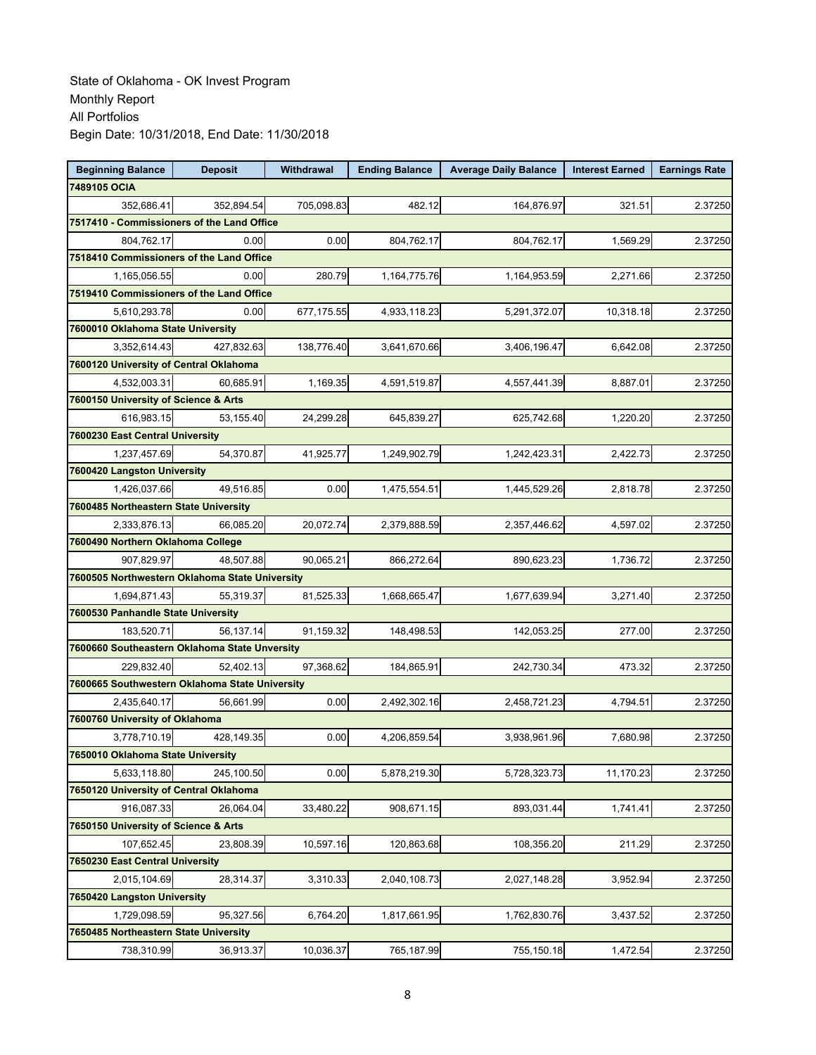| <b>Beginning Balance</b>                       | <b>Deposit</b>                           | Withdrawal | <b>Ending Balance</b> | <b>Average Daily Balance</b> | <b>Interest Earned</b> | <b>Earnings Rate</b> |  |  |  |
|------------------------------------------------|------------------------------------------|------------|-----------------------|------------------------------|------------------------|----------------------|--|--|--|
| 7489105 OCIA                                   |                                          |            |                       |                              |                        |                      |  |  |  |
| 352,686.41                                     | 352,894.54                               | 705,098.83 | 482.12                | 164,876.97                   | 321.51                 | 2.37250              |  |  |  |
| 7517410 - Commissioners of the Land Office     |                                          |            |                       |                              |                        |                      |  |  |  |
| 804,762.17                                     | 0.00                                     | 0.00       | 804,762.17            | 804,762.17                   | 1,569.29               | 2.37250              |  |  |  |
|                                                | 7518410 Commissioners of the Land Office |            |                       |                              |                        |                      |  |  |  |
| 1,165,056.55                                   | 0.00                                     | 280.79     | 1,164,775.76          | 1,164,953.59                 | 2,271.66               | 2.37250              |  |  |  |
| 7519410 Commissioners of the Land Office       |                                          |            |                       |                              |                        |                      |  |  |  |
| 5,610,293.78                                   | 0.00                                     | 677,175.55 | 4,933,118.23          | 5,291,372.07                 | 10,318.18              | 2.37250              |  |  |  |
| 7600010 Oklahoma State University              |                                          |            |                       |                              |                        |                      |  |  |  |
| 3,352,614.43                                   | 427.832.63                               | 138,776.40 | 3,641,670.66          | 3,406,196.47                 | 6,642.08               | 2.37250              |  |  |  |
| 7600120 University of Central Oklahoma         |                                          |            |                       |                              |                        |                      |  |  |  |
| 4,532,003.31                                   | 60,685.91                                | 1,169.35   | 4,591,519.87          | 4,557,441.39                 | 8,887.01               | 2.37250              |  |  |  |
| 7600150 University of Science & Arts           |                                          |            |                       |                              |                        |                      |  |  |  |
| 616,983.15                                     | 53,155.40                                | 24,299.28  | 645,839.27            | 625,742.68                   | 1,220.20               | 2.37250              |  |  |  |
| 7600230 East Central University                |                                          |            |                       |                              |                        |                      |  |  |  |
| 1,237,457.69                                   | 54,370.87                                | 41,925.77  | 1,249,902.79          | 1,242,423.31                 | 2.422.73               | 2.37250              |  |  |  |
| 7600420 Langston University                    |                                          |            |                       |                              |                        |                      |  |  |  |
| 1.426.037.66                                   | 49,516.85                                | 0.00       | 1,475,554.51          | 1,445,529.26                 | 2,818.78               | 2.37250              |  |  |  |
| 7600485 Northeastern State University          |                                          |            |                       |                              |                        |                      |  |  |  |
| 2,333,876.13                                   | 66,085.20                                | 20,072.74  | 2,379,888.59          | 2,357,446.62                 | 4,597.02               | 2.37250              |  |  |  |
| 7600490 Northern Oklahoma College              |                                          |            |                       |                              |                        |                      |  |  |  |
| 907,829.97                                     | 48,507.88                                | 90,065.21  | 866,272.64            | 890,623.23                   | 1,736.72               | 2.37250              |  |  |  |
| 7600505 Northwestern Oklahoma State University |                                          |            |                       |                              |                        |                      |  |  |  |
| 1,694,871.43                                   | 55,319.37                                | 81,525.33  | 1,668,665.47          | 1,677,639.94                 | 3,271.40               | 2.37250              |  |  |  |
| 7600530 Panhandle State University             |                                          |            |                       |                              |                        |                      |  |  |  |
| 183,520.71                                     | 56,137.14                                | 91,159.32  | 148,498.53            | 142,053.25                   | 277.00                 | 2.37250              |  |  |  |
| 7600660 Southeastern Oklahoma State Unversity  |                                          |            |                       |                              |                        |                      |  |  |  |
| 229,832.40                                     | 52,402.13                                | 97,368.62  | 184,865.91            | 242,730.34                   | 473.32                 | 2.37250              |  |  |  |
| 7600665 Southwestern Oklahoma State University |                                          |            |                       |                              |                        |                      |  |  |  |
| 2,435,640.17                                   | 56,661.99                                | 0.00       | 2,492,302.16          | 2,458,721.23                 | 4,794.51               | 2.37250              |  |  |  |
| 7600760 University of Oklahoma                 |                                          |            |                       |                              |                        |                      |  |  |  |
| 3,778,710.19                                   | 428,149.35                               | 0.00       | 4,206,859.54          | 3,938,961.96                 | 7,680.98               | 2.37250              |  |  |  |
| 7650010 Oklahoma State University              |                                          |            |                       |                              |                        |                      |  |  |  |
| 5,633,118.80                                   | 245.100.50                               | 0.00       | 5,878,219.30          | 5,728,323.73                 | 11,170.23              | 2.37250              |  |  |  |
| 7650120 University of Central Oklahoma         |                                          |            |                       |                              |                        |                      |  |  |  |
| 916,087.33                                     | 26,064.04                                | 33,480.22  | 908,671.15            | 893,031.44                   | 1,741.41               | 2.37250              |  |  |  |
| 7650150 University of Science & Arts           |                                          |            |                       |                              |                        |                      |  |  |  |
| 107,652.45                                     | 23,808.39                                | 10,597.16  | 120,863.68            | 108,356.20                   | 211.29                 | 2.37250              |  |  |  |
| 7650230 East Central University                |                                          |            |                       |                              |                        |                      |  |  |  |
| 2,015,104.69                                   | 28,314.37                                | 3,310.33   | 2,040,108.73          | 2,027,148.28                 | 3,952.94               | 2.37250              |  |  |  |
| 7650420 Langston University                    |                                          |            |                       |                              |                        |                      |  |  |  |
| 1,729,098.59                                   | 95,327.56                                | 6,764.20   | 1,817,661.95          | 1,762,830.76                 | 3,437.52               | 2.37250              |  |  |  |
| 7650485 Northeastern State University          |                                          |            |                       |                              |                        |                      |  |  |  |
| 738,310.99                                     | 36,913.37                                | 10,036.37  | 765,187.99            | 755,150.18                   | 1,472.54               | 2.37250              |  |  |  |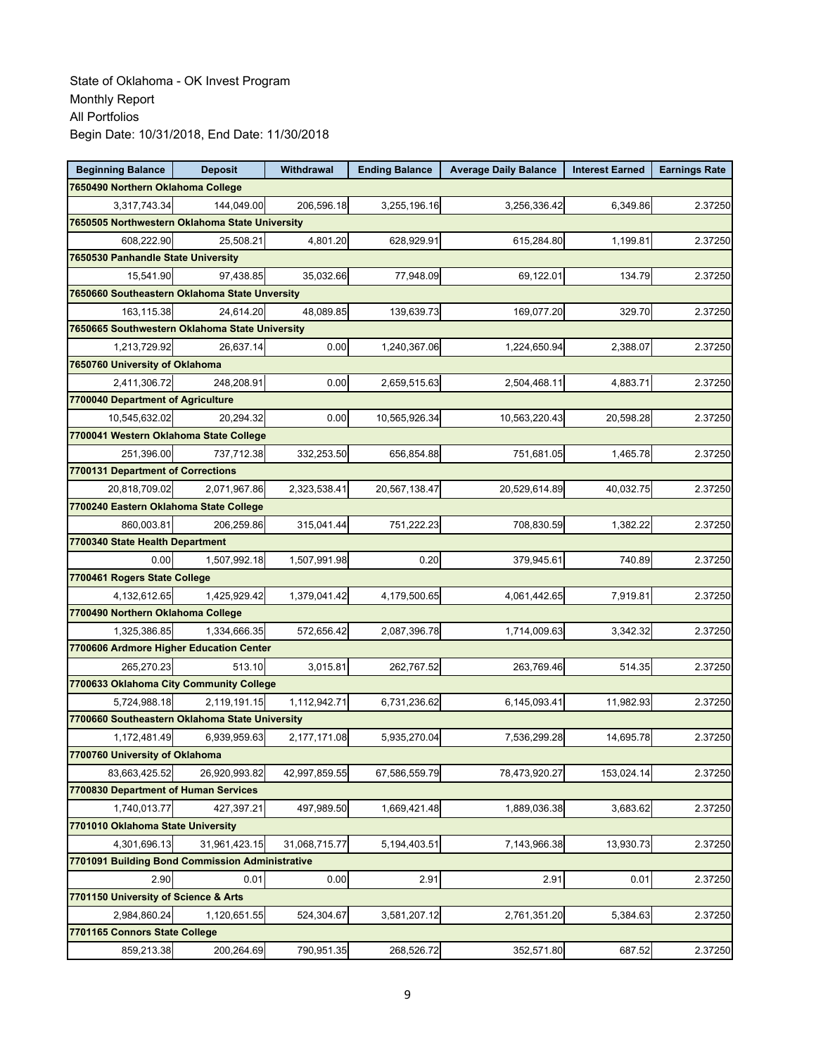| <b>Beginning Balance</b>                        | <b>Deposit</b> | Withdrawal    | <b>Ending Balance</b> | <b>Average Daily Balance</b> | <b>Interest Earned</b> | <b>Earnings Rate</b> |
|-------------------------------------------------|----------------|---------------|-----------------------|------------------------------|------------------------|----------------------|
| 7650490 Northern Oklahoma College               |                |               |                       |                              |                        |                      |
| 3,317,743.34                                    | 144,049.00     | 206,596.18    | 3,255,196.16          | 3,256,336.42                 | 6,349.86               | 2.37250              |
| 7650505 Northwestern Oklahoma State University  |                |               |                       |                              |                        |                      |
| 608,222.90                                      | 25,508.21      | 4,801.20      | 628,929.91            | 615,284.80                   | 1,199.81               | 2.37250              |
| 7650530 Panhandle State University              |                |               |                       |                              |                        |                      |
| 15,541.90                                       | 97,438.85      | 35,032.66     | 77,948.09             | 69,122.01                    | 134.79                 | 2.37250              |
| 7650660 Southeastern Oklahoma State Unversity   |                |               |                       |                              |                        |                      |
| 163,115.38                                      | 24,614.20      | 48,089.85     | 139,639.73            | 169,077.20                   | 329.70                 | 2.37250              |
| 7650665 Southwestern Oklahoma State University  |                |               |                       |                              |                        |                      |
| 1,213,729.92                                    | 26,637.14      | 0.00          | 1,240,367.06          | 1,224,650.94                 | 2,388.07               | 2.37250              |
| 7650760 University of Oklahoma                  |                |               |                       |                              |                        |                      |
| 2,411,306.72                                    | 248,208.91     | 0.00          | 2,659,515.63          | 2,504,468.11                 | 4,883.71               | 2.37250              |
| 7700040 Department of Agriculture               |                |               |                       |                              |                        |                      |
| 10,545,632.02                                   | 20,294.32      | 0.00          | 10,565,926.34         | 10,563,220.43                | 20,598.28              | 2.37250              |
| 7700041 Western Oklahoma State College          |                |               |                       |                              |                        |                      |
| 251,396.00                                      | 737,712.38     | 332,253.50    | 656,854.88            | 751,681.05                   | 1,465.78               | 2.37250              |
| 7700131 Department of Corrections               |                |               |                       |                              |                        |                      |
| 20,818,709.02                                   | 2,071,967.86   | 2,323,538.41  | 20,567,138.47         | 20,529,614.89                | 40,032.75              | 2.37250              |
| 7700240 Eastern Oklahoma State College          |                |               |                       |                              |                        |                      |
| 860,003.81                                      | 206,259.86     | 315,041.44    | 751,222.23            | 708,830.59                   | 1,382.22               | 2.37250              |
| 7700340 State Health Department                 |                |               |                       |                              |                        |                      |
| 0.00                                            | 1,507,992.18   | 1,507,991.98  | 0.20                  | 379,945.61                   | 740.89                 | 2.37250              |
| 7700461 Rogers State College                    |                |               |                       |                              |                        |                      |
| 4,132,612.65                                    | 1,425,929.42   | 1,379,041.42  | 4,179,500.65          | 4,061,442.65                 | 7,919.81               | 2.37250              |
| 7700490 Northern Oklahoma College               |                |               |                       |                              |                        |                      |
| 1,325,386.85                                    | 1,334,666.35   | 572,656.42    | 2,087,396.78          | 1,714,009.63                 | 3,342.32               | 2.37250              |
| 7700606 Ardmore Higher Education Center         |                |               |                       |                              |                        |                      |
| 265,270.23                                      | 513.10         | 3,015.81      | 262,767.52            | 263,769.46                   | 514.35                 | 2.37250              |
| 7700633 Oklahoma City Community College         |                |               |                       |                              |                        |                      |
| 5.724.988.18                                    | 2,119,191.15   | 1,112,942.71  | 6,731,236.62          | 6,145,093.41                 | 11,982.93              | 2.37250              |
| 7700660 Southeastern Oklahoma State University  |                |               |                       |                              |                        |                      |
| 1,172,481.49                                    | 6,939,959.63   | 2,177,171.08  | 5,935,270.04          | 7,536,299.28                 | 14,695.78              | 2.37250              |
| 7700760 University of Oklahoma                  |                |               |                       |                              |                        |                      |
| 83,663,425.52                                   | 26,920,993.82  | 42,997,859.55 | 67,586,559.79         | 78,473,920.27                | 153,024.14             | 2.37250              |
| 7700830 Department of Human Services            |                |               |                       |                              |                        |                      |
| 1,740,013.77                                    | 427,397.21     | 497,989.50    | 1,669,421.48          | 1,889,036.38                 | 3,683.62               | 2.37250              |
| 7701010 Oklahoma State University               |                |               |                       |                              |                        |                      |
| 4,301,696.13                                    | 31,961,423.15  | 31,068,715.77 | 5,194,403.51          | 7,143,966.38                 | 13,930.73              | 2.37250              |
| 7701091 Building Bond Commission Administrative |                |               |                       |                              |                        |                      |
| 2.90                                            | 0.01           | 0.00          | 2.91                  | 2.91                         | 0.01                   | 2.37250              |
| 7701150 University of Science & Arts            |                |               |                       |                              |                        |                      |
| 2,984,860.24                                    | 1,120,651.55   | 524,304.67    | 3,581,207.12          | 2,761,351.20                 | 5,384.63               | 2.37250              |
| 7701165 Connors State College                   |                |               |                       |                              |                        |                      |
| 859,213.38                                      | 200,264.69     | 790,951.35    | 268,526.72            | 352,571.80                   | 687.52                 | 2.37250              |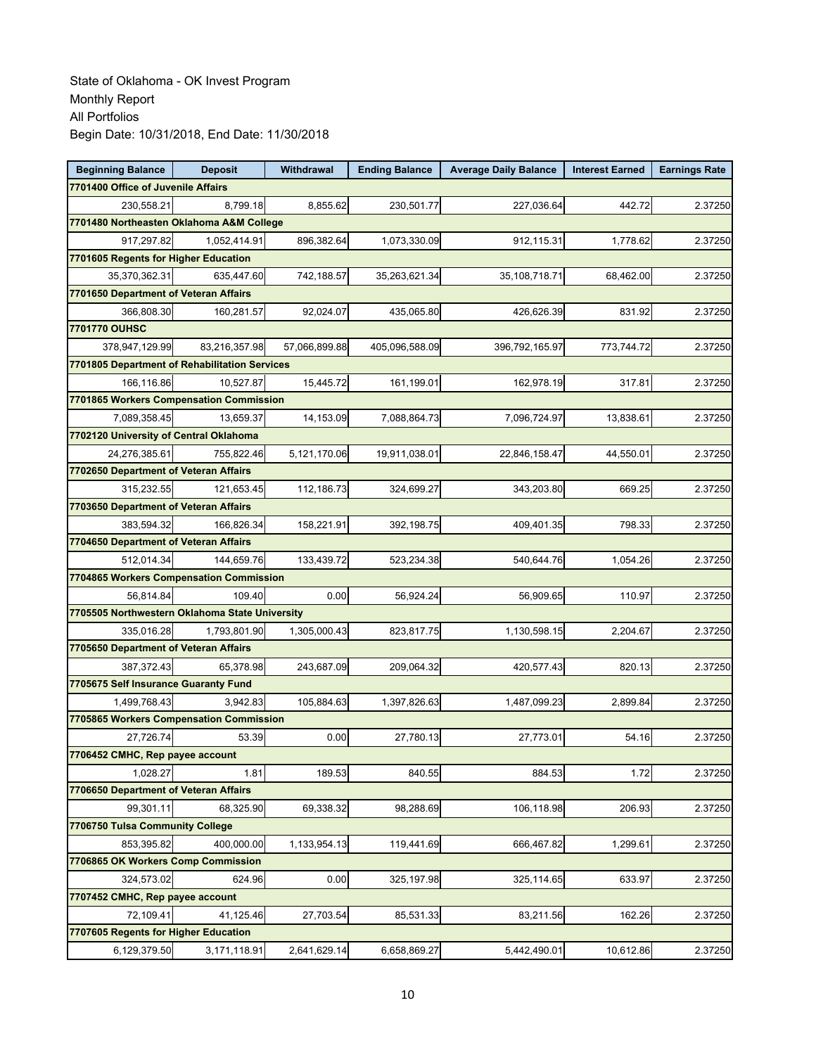| <b>Beginning Balance</b>                       | <b>Deposit</b> | Withdrawal    | <b>Ending Balance</b> | <b>Average Daily Balance</b> | <b>Interest Earned</b> | <b>Earnings Rate</b> |  |  |  |
|------------------------------------------------|----------------|---------------|-----------------------|------------------------------|------------------------|----------------------|--|--|--|
| 7701400 Office of Juvenile Affairs             |                |               |                       |                              |                        |                      |  |  |  |
| 230,558.21                                     | 8,799.18       | 8,855.62      | 230,501.77            | 227,036.64                   | 442.72                 | 2.37250              |  |  |  |
| 7701480 Northeasten Oklahoma A&M College       |                |               |                       |                              |                        |                      |  |  |  |
| 917,297.82                                     | 1,052,414.91   | 896,382.64    | 1,073,330.09          | 912,115.31                   | 1,778.62               | 2.37250              |  |  |  |
| 7701605 Regents for Higher Education           |                |               |                       |                              |                        |                      |  |  |  |
| 35,370,362.31                                  | 635,447.60     | 742,188.57    | 35,263,621.34         | 35,108,718.71                | 68,462.00              | 2.37250              |  |  |  |
| 7701650 Department of Veteran Affairs          |                |               |                       |                              |                        |                      |  |  |  |
| 366.808.30                                     | 160,281.57     | 92,024.07     | 435,065.80            | 426,626.39                   | 831.92                 | 2.37250              |  |  |  |
| 7701770 OUHSC                                  |                |               |                       |                              |                        |                      |  |  |  |
| 378,947,129.99                                 | 83,216,357.98  | 57,066,899.88 | 405,096,588.09        | 396,792,165.97               | 773,744.72             | 2.37250              |  |  |  |
| 7701805 Department of Rehabilitation Services  |                |               |                       |                              |                        |                      |  |  |  |
| 166,116.86                                     | 10.527.87      | 15,445.72     | 161,199.01            | 162,978.19                   | 317.81                 | 2.37250              |  |  |  |
| 7701865 Workers Compensation Commission        |                |               |                       |                              |                        |                      |  |  |  |
| 7,089,358.45                                   | 13,659.37      | 14,153.09     | 7,088,864.73          | 7,096,724.97                 | 13,838.61              | 2.37250              |  |  |  |
| 7702120 University of Central Oklahoma         |                |               |                       |                              |                        |                      |  |  |  |
| 24.276.385.61                                  | 755,822.46     | 5,121,170.06  | 19,911,038.01         | 22,846,158.47                | 44,550.01              | 2.37250              |  |  |  |
| 7702650 Department of Veteran Affairs          |                |               |                       |                              |                        |                      |  |  |  |
| 315,232.55                                     | 121,653.45     | 112,186.73    | 324,699.27            | 343,203.80                   | 669.25                 | 2.37250              |  |  |  |
| 7703650 Department of Veteran Affairs          |                |               |                       |                              |                        |                      |  |  |  |
| 383,594.32                                     | 166,826.34     | 158,221.91    | 392,198.75            | 409,401.35                   | 798.33                 | 2.37250              |  |  |  |
| 7704650 Department of Veteran Affairs          |                |               |                       |                              |                        |                      |  |  |  |
| 512,014.34                                     | 144,659.76     | 133,439.72    | 523,234.38            | 540,644.76                   | 1,054.26               | 2.37250              |  |  |  |
| 7704865 Workers Compensation Commission        |                |               |                       |                              |                        |                      |  |  |  |
| 56,814.84                                      | 109.40         | 0.00          | 56,924.24             | 56,909.65                    | 110.97                 | 2.37250              |  |  |  |
| 7705505 Northwestern Oklahoma State University |                |               |                       |                              |                        |                      |  |  |  |
| 335,016.28                                     | 1,793,801.90   | 1,305,000.43  | 823,817.75            | 1,130,598.15                 | 2,204.67               | 2.37250              |  |  |  |
| 7705650 Department of Veteran Affairs          |                |               |                       |                              |                        |                      |  |  |  |
| 387,372.43                                     | 65,378.98      | 243,687.09    | 209,064.32            | 420,577.43                   | 820.13                 | 2.37250              |  |  |  |
| 7705675 Self Insurance Guaranty Fund           |                |               |                       |                              |                        |                      |  |  |  |
| 1,499,768.43                                   | 3.942.83       | 105,884.63    | 1,397,826.63          | 1,487,099.23                 | 2.899.84               | 2.37250              |  |  |  |
| 7705865 Workers Compensation Commission        |                |               |                       |                              |                        |                      |  |  |  |
| 27,726.74                                      | 53.39          | 0.00          | 27,780.13             | 27,773.01                    | 54.16                  | 2.37250              |  |  |  |
| 7706452 CMHC, Rep payee account                |                |               |                       |                              |                        |                      |  |  |  |
| 1,028.27                                       | 1.81           | 189.53        | 840.55                | 884.53                       | 1.72                   | 2.37250              |  |  |  |
| 7706650 Department of Veteran Affairs          |                |               |                       |                              |                        |                      |  |  |  |
| 99,301.11                                      | 68,325.90      | 69,338.32     | 98,288.69             | 106,118.98                   | 206.93                 | 2.37250              |  |  |  |
| 7706750 Tulsa Community College                |                |               |                       |                              |                        |                      |  |  |  |
| 853,395.82                                     | 400,000.00     | 1,133,954.13  | 119,441.69            | 666,467.82                   | 1,299.61               | 2.37250              |  |  |  |
| 7706865 OK Workers Comp Commission             |                |               |                       |                              |                        |                      |  |  |  |
| 324,573.02                                     | 624.96         | 0.00          | 325,197.98            | 325,114.65                   | 633.97                 | 2.37250              |  |  |  |
| 7707452 CMHC, Rep payee account                |                |               |                       |                              |                        |                      |  |  |  |
| 72,109.41                                      | 41,125.46      | 27,703.54     | 85,531.33             | 83,211.56                    | 162.26                 | 2.37250              |  |  |  |
| 7707605 Regents for Higher Education           |                |               |                       |                              |                        |                      |  |  |  |
| 6,129,379.50                                   | 3,171,118.91   | 2,641,629.14  | 6,658,869.27          | 5,442,490.01                 | 10,612.86              | 2.37250              |  |  |  |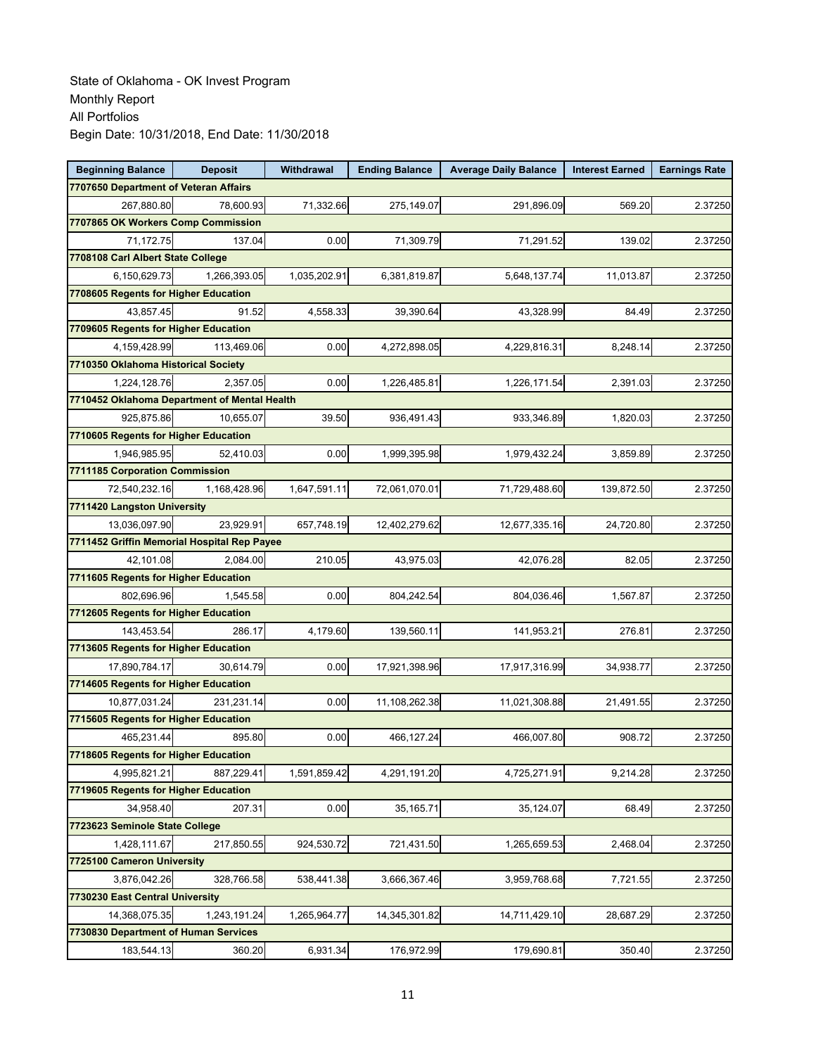| <b>Beginning Balance</b>                     | <b>Deposit</b>                              | Withdrawal   | <b>Ending Balance</b> | <b>Average Daily Balance</b> | <b>Interest Earned</b> | <b>Earnings Rate</b> |  |  |  |
|----------------------------------------------|---------------------------------------------|--------------|-----------------------|------------------------------|------------------------|----------------------|--|--|--|
| 7707650 Department of Veteran Affairs        |                                             |              |                       |                              |                        |                      |  |  |  |
| 267,880.80                                   | 78,600.93                                   | 71,332.66    | 275,149.07            | 291,896.09                   | 569.20                 | 2.37250              |  |  |  |
| 7707865 OK Workers Comp Commission           |                                             |              |                       |                              |                        |                      |  |  |  |
| 71,172.75                                    | 137.04                                      | 0.00         | 71,309.79             | 71,291.52                    | 139.02                 | 2.37250              |  |  |  |
|                                              | 7708108 Carl Albert State College           |              |                       |                              |                        |                      |  |  |  |
| 6,150,629.73                                 | 1,266,393.05                                | 1,035,202.91 | 6,381,819.87          | 5,648,137.74                 | 11,013.87              | 2.37250              |  |  |  |
| 7708605 Regents for Higher Education         |                                             |              |                       |                              |                        |                      |  |  |  |
| 43,857.45                                    | 91.52                                       | 4,558.33     | 39,390.64             | 43,328.99                    | 84.49                  | 2.37250              |  |  |  |
| 7709605 Regents for Higher Education         |                                             |              |                       |                              |                        |                      |  |  |  |
| 4,159,428.99                                 | 113.469.06                                  | 0.00         | 4,272,898.05          | 4,229,816.31                 | 8,248.14               | 2.37250              |  |  |  |
| 7710350 Oklahoma Historical Society          |                                             |              |                       |                              |                        |                      |  |  |  |
| 1,224,128.76                                 | 2,357.05                                    | 0.00         | 1,226,485.81          | 1,226,171.54                 | 2,391.03               | 2.37250              |  |  |  |
| 7710452 Oklahoma Department of Mental Health |                                             |              |                       |                              |                        |                      |  |  |  |
| 925,875.86                                   | 10,655.07                                   | 39.50        | 936,491.43            | 933,346.89                   | 1,820.03               | 2.37250              |  |  |  |
| 7710605 Regents for Higher Education         |                                             |              |                       |                              |                        |                      |  |  |  |
| 1,946,985.95                                 | 52,410.03                                   | 0.00         | 1,999,395.98          | 1,979,432.24                 | 3,859.89               | 2.37250              |  |  |  |
| 7711185 Corporation Commission               |                                             |              |                       |                              |                        |                      |  |  |  |
| 72,540,232.16                                | 1,168,428.96                                | 1,647,591.11 | 72,061,070.01         | 71,729,488.60                | 139,872.50             | 2.37250              |  |  |  |
| 7711420 Langston University                  |                                             |              |                       |                              |                        |                      |  |  |  |
| 13.036.097.90                                | 23,929.91                                   | 657,748.19   | 12,402,279.62         | 12,677,335.16                | 24,720.80              | 2.37250              |  |  |  |
|                                              | 7711452 Griffin Memorial Hospital Rep Payee |              |                       |                              |                        |                      |  |  |  |
| 42,101.08                                    | 2,084.00                                    | 210.05       | 43,975.03             | 42,076.28                    | 82.05                  | 2.37250              |  |  |  |
| 7711605 Regents for Higher Education         |                                             |              |                       |                              |                        |                      |  |  |  |
| 802,696.96                                   | 1,545.58                                    | 0.00         | 804,242.54            | 804,036.46                   | 1,567.87               | 2.37250              |  |  |  |
| 7712605 Regents for Higher Education         |                                             |              |                       |                              |                        |                      |  |  |  |
| 143,453.54                                   | 286.17                                      | 4,179.60     | 139,560.11            | 141,953.21                   | 276.81                 | 2.37250              |  |  |  |
| 7713605 Regents for Higher Education         |                                             |              |                       |                              |                        |                      |  |  |  |
| 17,890,784.17                                | 30,614.79                                   | 0.00         | 17,921,398.96         | 17,917,316.99                | 34,938.77              | 2.37250              |  |  |  |
| 7714605 Regents for Higher Education         |                                             |              |                       |                              |                        |                      |  |  |  |
| 10,877,031.24                                | 231.231.14                                  | 0.00         | 11,108,262.38         | 11,021,308.88                | 21,491.55              | 2.37250              |  |  |  |
| 7715605 Regents for Higher Education         |                                             |              |                       |                              |                        |                      |  |  |  |
| 465,231.44                                   | 895.80                                      | 0.00         | 466,127.24            | 466,007.80                   | 908.72                 | 2.37250              |  |  |  |
| 7718605 Regents for Higher Education         |                                             |              |                       |                              |                        |                      |  |  |  |
| 4,995,821.21                                 | 887,229.41                                  | 1,591,859.42 | 4,291,191.20          | 4,725,271.91                 | 9,214.28               | 2.37250              |  |  |  |
| 7719605 Regents for Higher Education         |                                             |              |                       |                              |                        |                      |  |  |  |
| 34,958.40                                    | 207.31                                      | 0.00         | 35,165.71             | 35,124.07                    | 68.49                  | 2.37250              |  |  |  |
| 7723623 Seminole State College               |                                             |              |                       |                              |                        |                      |  |  |  |
| 1,428,111.67                                 | 217,850.55                                  | 924,530.72   | 721,431.50            | 1,265,659.53                 | 2,468.04               | 2.37250              |  |  |  |
| 7725100 Cameron University                   |                                             |              |                       |                              |                        |                      |  |  |  |
| 3,876,042.26                                 | 328,766.58                                  | 538,441.38   | 3,666,367.46          | 3,959,768.68                 | 7,721.55               | 2.37250              |  |  |  |
| 7730230 East Central University              |                                             |              |                       |                              |                        |                      |  |  |  |
| 14,368,075.35                                | 1,243,191.24                                | 1,265,964.77 | 14,345,301.82         | 14,711,429.10                | 28,687.29              | 2.37250              |  |  |  |
| 7730830 Department of Human Services         |                                             |              |                       |                              |                        |                      |  |  |  |
| 183,544.13                                   | 360.20                                      | 6,931.34     | 176,972.99            | 179,690.81                   | 350.40                 | 2.37250              |  |  |  |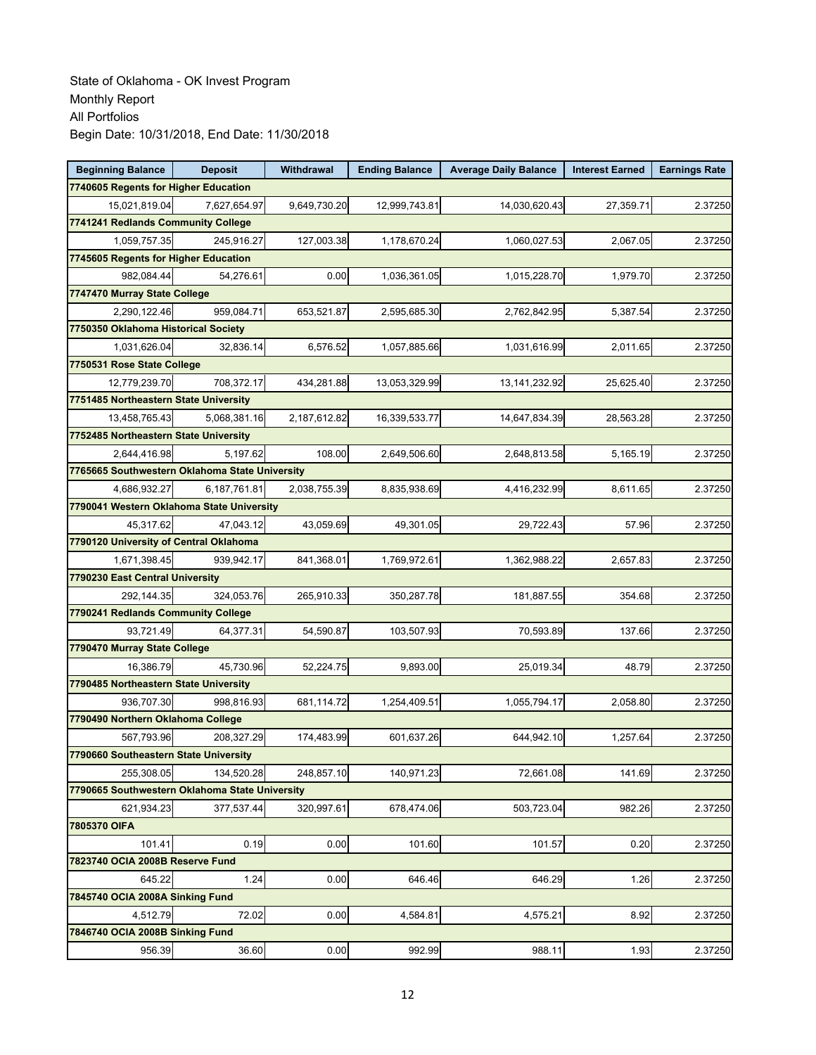| <b>Beginning Balance</b>                       | <b>Deposit</b> | Withdrawal   | <b>Ending Balance</b> | <b>Average Daily Balance</b> | <b>Interest Earned</b> | <b>Earnings Rate</b> |
|------------------------------------------------|----------------|--------------|-----------------------|------------------------------|------------------------|----------------------|
| 7740605 Regents for Higher Education           |                |              |                       |                              |                        |                      |
| 15,021,819.04                                  | 7,627,654.97   | 9,649,730.20 | 12,999,743.81         | 14,030,620.43                | 27,359.71              | 2.37250              |
| 7741241 Redlands Community College             |                |              |                       |                              |                        |                      |
| 1,059,757.35                                   | 245,916.27     | 127,003.38   | 1,178,670.24          | 1,060,027.53                 | 2,067.05               | 2.37250              |
| 7745605 Regents for Higher Education           |                |              |                       |                              |                        |                      |
| 982,084.44                                     | 54,276.61      | 0.00         | 1,036,361.05          | 1,015,228.70                 | 1,979.70               | 2.37250              |
| 7747470 Murray State College                   |                |              |                       |                              |                        |                      |
| 2,290,122.46                                   | 959,084.71     | 653,521.87   | 2,595,685.30          | 2,762,842.95                 | 5.387.54               | 2.37250              |
| 7750350 Oklahoma Historical Society            |                |              |                       |                              |                        |                      |
| 1.031.626.04                                   | 32,836.14      | 6,576.52     | 1,057,885.66          | 1,031,616.99                 | 2,011.65               | 2.37250              |
| 7750531 Rose State College                     |                |              |                       |                              |                        |                      |
| 12,779,239.70                                  | 708,372.17     | 434,281.88   | 13,053,329.99         | 13, 141, 232. 92             | 25,625.40              | 2.37250              |
| 7751485 Northeastern State University          |                |              |                       |                              |                        |                      |
| 13,458,765.43                                  | 5,068,381.16   | 2,187,612.82 | 16,339,533.77         | 14,647,834.39                | 28,563.28              | 2.37250              |
| 7752485 Northeastern State University          |                |              |                       |                              |                        |                      |
| 2,644,416.98                                   | 5,197.62       | 108.00       | 2,649,506.60          | 2,648,813.58                 | 5.165.19               | 2.37250              |
| 7765665 Southwestern Oklahoma State University |                |              |                       |                              |                        |                      |
| 4,686,932.27                                   | 6.187.761.81   | 2,038,755.39 | 8,835,938.69          | 4,416,232.99                 | 8,611.65               | 2.37250              |
| 7790041 Western Oklahoma State University      |                |              |                       |                              |                        |                      |
| 45,317.62                                      | 47,043.12      | 43,059.69    | 49,301.05             | 29,722.43                    | 57.96                  | 2.37250              |
| 7790120 University of Central Oklahoma         |                |              |                       |                              |                        |                      |
| 1,671,398.45                                   | 939,942.17     | 841,368.01   | 1,769,972.61          | 1,362,988.22                 | 2,657.83               | 2.37250              |
| 7790230 East Central University                |                |              |                       |                              |                        |                      |
| 292,144.35                                     | 324,053.76     | 265,910.33   | 350,287.78            | 181,887.55                   | 354.68                 | 2.37250              |
| 7790241 Redlands Community College             |                |              |                       |                              |                        |                      |
| 93,721.49                                      | 64,377.31      | 54,590.87    | 103,507.93            | 70,593.89                    | 137.66                 | 2.37250              |
| 7790470 Murray State College                   |                |              |                       |                              |                        |                      |
| 16,386.79                                      | 45,730.96      | 52,224.75    | 9,893.00              | 25,019.34                    | 48.79                  | 2.37250              |
| 7790485 Northeastern State University          |                |              |                       |                              |                        |                      |
| 936,707.30                                     | 998,816.93     | 681,114.72   | 1,254,409.51          | 1,055,794.17                 | 2,058.80               | 2.37250              |
| 7790490 Northern Oklahoma College              |                |              |                       |                              |                        |                      |
| 567,793.96                                     | 208,327.29     | 174,483.99   | 601,637.26            | 644,942.10                   | 1,257.64               | 2.37250              |
| 7790660 Southeastern State University          |                |              |                       |                              |                        |                      |
| 255,308.05                                     | 134.520.28     | 248,857.10   | 140,971.23            | 72,661.08                    | 141.69                 | 2.37250              |
| 7790665 Southwestern Oklahoma State University |                |              |                       |                              |                        |                      |
| 621,934.23                                     | 377,537.44     | 320,997.61   | 678,474.06            | 503,723.04                   | 982.26                 | 2.37250              |
| 7805370 OIFA                                   |                |              |                       |                              |                        |                      |
| 101.41                                         | 0.19           | 0.00         | 101.60                | 101.57                       | 0.20                   | 2.37250              |
| 7823740 OCIA 2008B Reserve Fund                |                |              |                       |                              |                        |                      |
| 645.22                                         | 1.24           | 0.00         | 646.46                | 646.29                       | 1.26                   | 2.37250              |
| 7845740 OCIA 2008A Sinking Fund                |                |              |                       |                              |                        |                      |
| 4,512.79                                       | 72.02          | 0.00         | 4,584.81              | 4,575.21                     | 8.92                   | 2.37250              |
| 7846740 OCIA 2008B Sinking Fund                |                |              |                       |                              |                        |                      |
| 956.39                                         | 36.60          | 0.00         | 992.99                | 988.11                       | 1.93                   | 2.37250              |